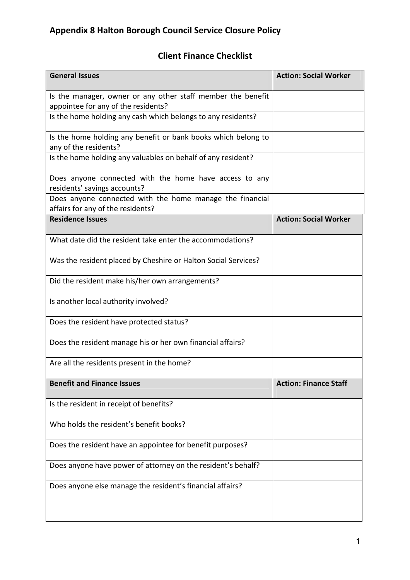## Client Finance Checklist

| <b>General Issues</b>                                                                              | <b>Action: Social Worker</b> |
|----------------------------------------------------------------------------------------------------|------------------------------|
| Is the manager, owner or any other staff member the benefit<br>appointee for any of the residents? |                              |
| Is the home holding any cash which belongs to any residents?                                       |                              |
| Is the home holding any benefit or bank books which belong to<br>any of the residents?             |                              |
| Is the home holding any valuables on behalf of any resident?                                       |                              |
| Does anyone connected with the home have access to any<br>residents' savings accounts?             |                              |
| Does anyone connected with the home manage the financial<br>affairs for any of the residents?      |                              |
| <b>Residence Issues</b>                                                                            | <b>Action: Social Worker</b> |
| What date did the resident take enter the accommodations?                                          |                              |
| Was the resident placed by Cheshire or Halton Social Services?                                     |                              |
| Did the resident make his/her own arrangements?                                                    |                              |
| Is another local authority involved?                                                               |                              |
| Does the resident have protected status?                                                           |                              |
| Does the resident manage his or her own financial affairs?                                         |                              |
| Are all the residents present in the home?                                                         |                              |
| <b>Benefit and Finance Issues</b>                                                                  | <b>Action: Finance Staff</b> |
| Is the resident in receipt of benefits?                                                            |                              |
| Who holds the resident's benefit books?                                                            |                              |
| Does the resident have an appointee for benefit purposes?                                          |                              |
| Does anyone have power of attorney on the resident's behalf?                                       |                              |
| Does anyone else manage the resident's financial affairs?                                          |                              |